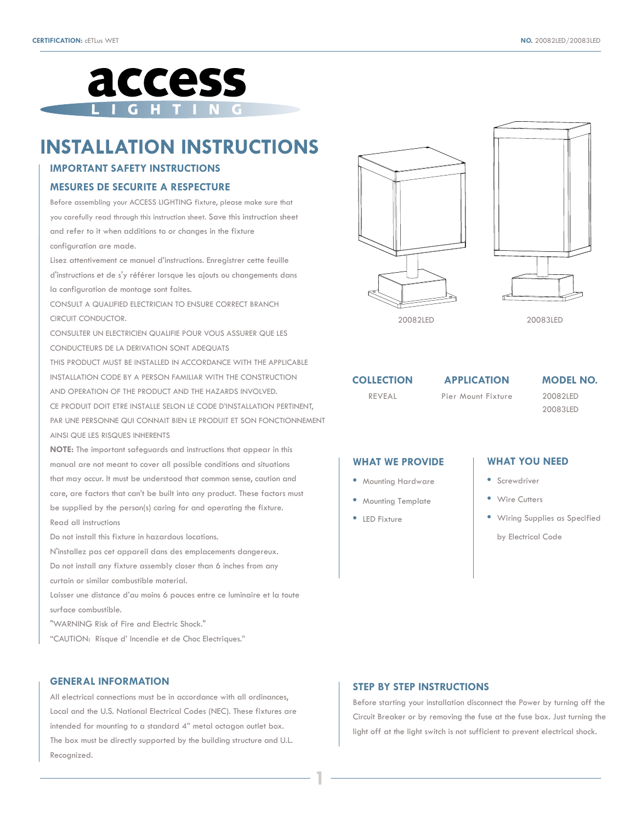

# **INSTALLATION INSTRUCTIONS**

## **IMPORTANT SAFETY INSTRUCTIONS**

#### **MESURES DE SECURITE A RESPECTURE**

Before assembling your ACCESS LIGHTING fixture, please make sure that you carefully read through this instruction sheet. Save this instruction sheet and refer to it when additions to or changes in the fixture configuration are made.

Lisez attentivement ce manuel d'instructions. Enregistrer cette feuille d'instructions et de s'y référer lorsque les ajouts ou changements dans la configuration de montage sont faites.

CONSULT A QUALIFIED ELECTRICIAN TO ENSURE CORRECT BRANCH CIRCUIT CONDUCTOR.

CONSULTER UN ELECTRICIEN QUALIFIE POUR VOUS ASSURER QUE LES CONDUCTEURS DE LA DERIVATION SONT ADEQUATS

THIS PRODUCT MUST BE INSTALLED IN ACCORDANCE WITH THE APPLICABLE INSTALLATION CODE BY A PERSON FAMILIAR WITH THE CONSTRUCTION AND OPERATION OF THE PRODUCT AND THE HAZARDS INVOLVED. CE PRODUIT DOIT ETRE INSTALLE SELON LE CODE D'INSTALLATION PERTINENT,

PAR UNE PERSONNE QUI CONNAIT BIEN LE PRODUIT ET SON FONCTIONNEMENT AINSI QUE LES RISQUES INHERENTS

**NOTE:** The important safeguards and instructions that appear in this manual are not meant to cover all possible conditions and situations that may occur. It must be understood that common sense, caution and care, are factors that can't be built into any product. These factors must be supplied by the person(s) caring for and operating the fixture. Read all instructions

Do not install this fixture in hazardous locations.

N'installez pas cet appareil dans des emplacements dangereux. Do not install any fixture assembly closer than 6 inches from any

curtain or similar combustible material.

Laisser une distance d'au moins 6 pouces entre ce luminaire et la toute surface combustible.

"WARNING Risk of Fire and Electric Shock."

"CAUTION: Risque d' Incendie et de Choc Electriques."

#### **GENERAL INFORMATION**

All electrical connections must be in accordance with all ordinances, Local and the U.S. National Electrical Codes (NEC). These fixtures are intended for mounting to a standard 4" metal octagon outlet box. The box must be directly supported by the building structure and U.L. Recognized.





20082LED 20083LED

**COLLECTION**  REVEAL

Pier Mount Fixture

20082LED **APPLICATION MODEL NO.**

20083LED

## **WHAT WE PROVIDE**

- **•** Mounting Hardware
- **•** Mounting Template
- **•** LED Fixture

**1**

#### **WHAT YOU NEED**

- **•** Screwdriver
- **•** Wire Cutters
- **•** Wiring Supplies as Specified

by Electrical Code

#### **STEP BY STEP INSTRUCTIONS**

Before starting your installation disconnect the Power by turning off the Circuit Breaker or by removing the fuse at the fuse box. Just turning the light off at the light switch is not sufficient to prevent electrical shock.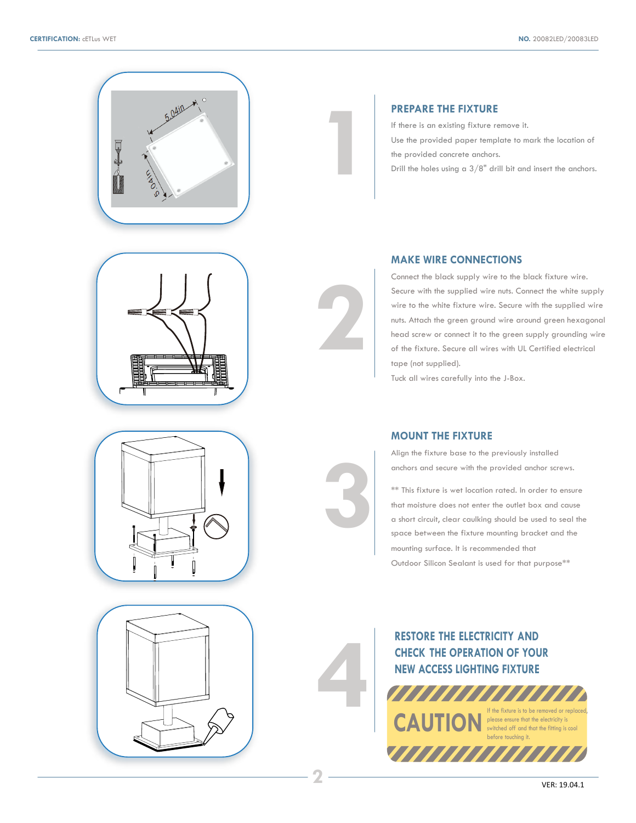







# **PREPARE THE FIXTURE**

**1**

**2**

**4**

**3**

**2**

If there is an existing fixture remove it.

Use the provided paper template to mark the location of the provided concrete anchors.

Drill the holes using a 3/8" drill bit and insert the anchors.

# **MAKE WIRE CONNECTIONS**

Connect the black supply wire to the black fixture wire. Secure with the supplied wire nuts. Connect the white supply wire to the white fixture wire. Secure with the supplied wire nuts. Attach the green ground wire around green hexagonal head screw or connect it to the green supply grounding wire of the fixture. Secure all wires with UL Certified electrical tape (not supplied).

Tuck all wires carefully into the J-Box.

#### **MOUNT THE FIXTURE**

Align the fixture base to the previously installed anchors and secure with the provided anchor screws.

\*\* This fixture is wet location rated. In order to ensure that moisture does not enter the outlet box and cause a short circuit, clear caulking should be used to seal the space between the fixture mounting bracket and the mounting surface. It is recommended that Outdoor Silicon Sealant is used for that purpose\*\*